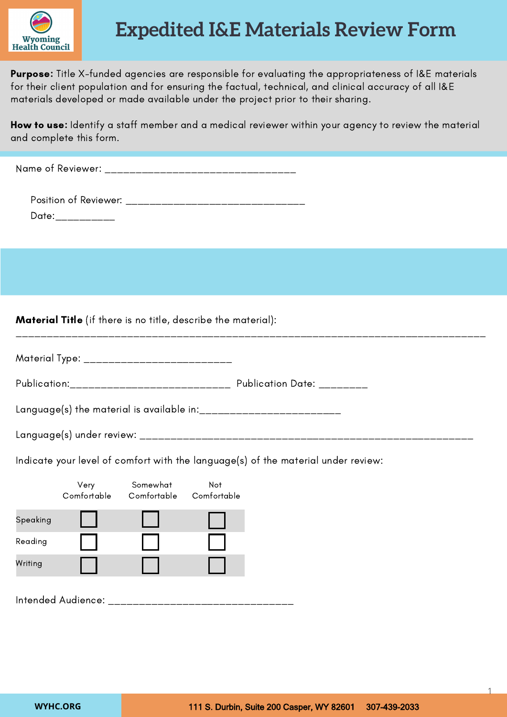

## **Expedited I&E Materials Review Form**

Purpose: Title X-funded agencies are responsible for evaluating the appropriateness of I&E materials for their client population and for ensuring the factual, technical, and clinical accuracy of all I&E materials developed or made available under the project prior to their sharing.

How to use: Identify a staff member and a medical reviewer within your agency to review the material and complete this form.

Name of Reviewer: \_\_\_\_\_\_\_\_\_\_\_\_\_\_\_\_\_\_\_\_\_\_\_\_\_\_\_\_\_\_\_

Position of Reviewer: \_\_\_\_\_\_\_\_\_\_\_\_\_\_\_\_\_\_\_\_\_\_\_\_\_\_\_\_\_\_ Date:\_\_\_\_\_\_\_\_\_\_\_

Material Title (if there is no title, describe the material):

| Material Type: |  |
|----------------|--|

Publication:\_\_\_\_\_\_\_\_\_\_\_\_\_\_\_\_\_\_\_\_\_\_\_\_\_\_ Publication Date: \_\_\_\_\_\_\_\_

Language(s) the material is available in:  $\frac{1}{2}$  =  $\frac{1}{2}$  =  $\frac{1}{2}$  =  $\frac{1}{2}$  =  $\frac{1}{2}$  =  $\frac{1}{2}$  =  $\frac{1}{2}$  =  $\frac{1}{2}$  =  $\frac{1}{2}$  =  $\frac{1}{2}$  =  $\frac{1}{2}$  =  $\frac{1}{2}$  =  $\frac{1}{2}$  =  $\frac{1}{2}$  =  $\frac{1}{2}$  =

Language(s) under review: \_\_\_\_\_\_\_\_\_\_\_\_\_\_\_\_\_\_\_\_\_\_\_\_\_\_\_\_\_\_\_\_\_\_\_\_\_\_\_\_\_\_\_\_\_\_\_\_\_\_\_\_\_\_

\_\_\_\_\_\_\_\_\_\_\_\_\_\_\_\_\_\_\_\_\_\_\_\_\_\_\_\_\_\_\_\_\_\_\_\_\_\_\_\_\_\_\_\_\_\_\_\_\_\_\_\_\_\_\_\_\_\_\_\_\_\_\_\_\_\_\_\_\_\_\_\_\_\_\_\_

Indicate your level of comfort with the language(s) of the material under review:

|          | Very<br>Comfortable | Somewhat<br>Comfortable | <b>Not</b><br>Comfortable |
|----------|---------------------|-------------------------|---------------------------|
| Speaking |                     |                         |                           |
| Reading  |                     |                         |                           |
| Writing  |                     |                         |                           |
|          |                     |                         |                           |

Intended Audience: \_\_\_\_\_\_\_\_\_\_\_\_\_\_\_\_\_\_\_\_\_\_\_\_\_\_\_\_\_\_

1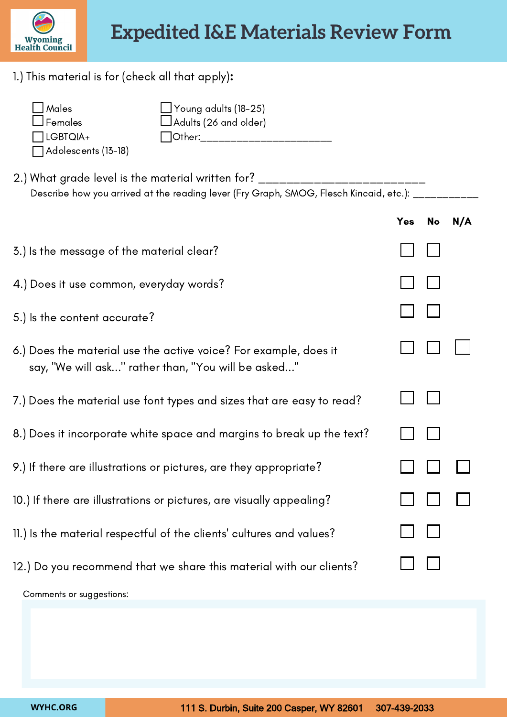

1.) This material is for (check all that apply):

| $\Box$ Males        | $\Box$ Young adults (18-25)  |
|---------------------|------------------------------|
| $\Box$ Females      | $\Box$ Adults (26 and older) |
| $\prod$ LGBTQIA+    | Other:                       |
| Adolescents (13-18) |                              |

2.) What grade level is the material written for? \_\_\_\_\_\_\_\_\_\_\_\_\_\_\_\_\_\_\_\_\_\_\_\_\_\_\_\_\_\_ Describe how you arrived at the reading lever (Fry Graph, SMOG, Flesch Kincaid, etc.): \_\_\_\_\_\_\_\_\_\_\_

|                                                                                                                         | Yes | No | N/A |
|-------------------------------------------------------------------------------------------------------------------------|-----|----|-----|
| 3.) Is the message of the material clear?                                                                               |     |    |     |
| 4.) Does it use common, everyday words?                                                                                 |     |    |     |
| 5.) Is the content accurate?                                                                                            |     |    |     |
| 6.) Does the material use the active voice? For example, does it<br>say, "We will ask" rather than, "You will be asked" |     |    |     |
| 7.) Does the material use font types and sizes that are easy to read?                                                   |     |    |     |
| 8.) Does it incorporate white space and margins to break up the text?                                                   |     |    |     |
| 9.) If there are illustrations or pictures, are they appropriate?                                                       |     |    |     |
| 10.) If there are illustrations or pictures, are visually appealing?                                                    |     |    |     |
| 11.) Is the material respectful of the clients' cultures and values?                                                    |     |    |     |
| 12.) Do you recommend that we share this material with our clients?                                                     |     |    |     |
| Comments or suggestions:                                                                                                |     |    |     |